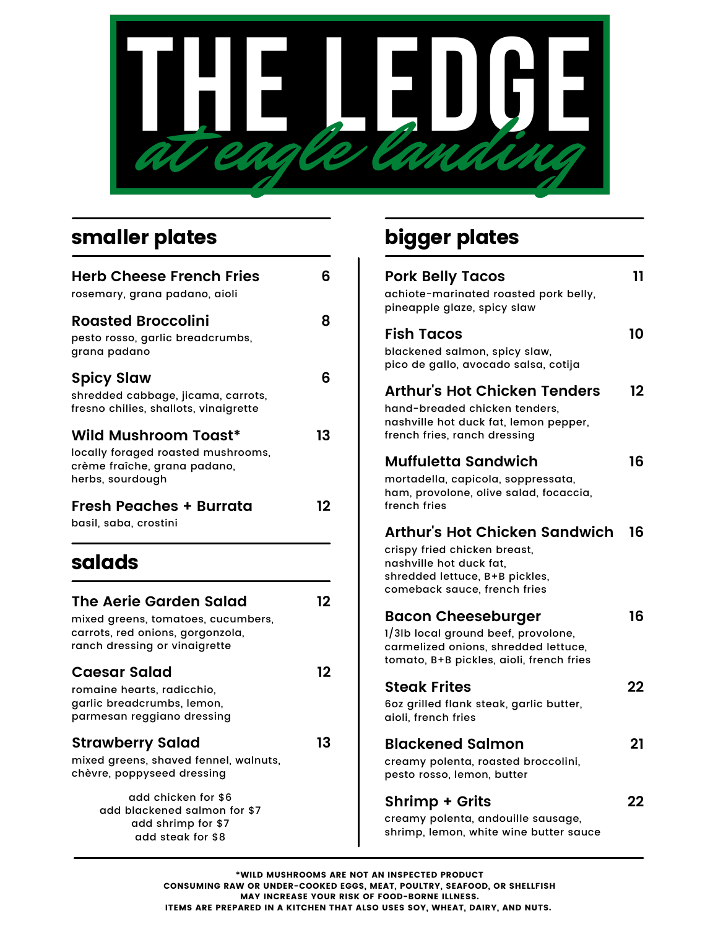

## smaller plates **bigger plates**

| <b>Herb Cheese French Fries</b><br>rosemary, grana padano, aioli                                                                  | 6  |
|-----------------------------------------------------------------------------------------------------------------------------------|----|
| <b>Roasted Broccolini</b><br>pesto rosso, garlic breadcrumbs,<br>grana padano                                                     | 8  |
| <b>Spicy Slaw</b><br>shredded cabbage, jicama, carrots,<br>fresno chilies, shallots, vinaigrette                                  | 6  |
| Wild Mushroom Toast*<br>locally foraged roasted mushrooms,<br>crème fraîche, grana padano,<br>herbs, sourdough                    | 13 |
| <b>Fresh Peaches + Burrata</b><br>basil, saba, crostini                                                                           | 12 |
| salads                                                                                                                            |    |
| The Aerie Garden Salad<br>mixed greens, tomatoes, cucumbers,<br>carrots, red onions, gorgonzola,<br>ranch dressing or vinaigrette | 12 |
| <b>Caesar Salad</b><br>romaine hearts, radicchio,<br>garlic breadcrumbs, lemon,<br>parmesan reggiano dressing                     | 12 |
| <b>Strawberry Salad</b><br>mixed greens, shaved fennel, walnuts,<br>chèvre, poppyseed dressing                                    | 13 |
| add chicken for \$6<br>add blackened salmon for \$7<br>add shrimp for \$7                                                         |    |

add steak for \$8

| <b>Pork Belly Tacos</b><br>achiote-marinated roasted pork belly,<br>pineapple glaze, spicy slaw                                                                   | 11 |
|-------------------------------------------------------------------------------------------------------------------------------------------------------------------|----|
| <b>Fish Tacos</b><br>blackened salmon, spicy slaw,<br>pico de gallo, avocado salsa, cotija                                                                        | 10 |
| <b>Arthur's Hot Chicken Tenders</b><br>hand-breaded chicken tenders.<br>nashville hot duck fat, lemon pepper,<br>french fries, ranch dressing                     | 12 |
| <b>Muffuletta Sandwich</b><br>mortadella, capicola, soppressata,<br>ham, provolone, olive salad, focaccia,<br>french fries                                        | 16 |
| <b>Arthur's Hot Chicken Sandwich</b><br>crispy fried chicken breast,<br>nashville hot duck fat.<br>shredded lettuce, B+B pickles,<br>comeback sauce, french fries | 16 |
| <b>Bacon Cheeseburger</b><br>1/3lb local ground beef, provolone,<br>carmelized onions, shredded lettuce,<br>tomato, B+B pickles, aioli, french fries              | 16 |
| <b>Steak Frites</b><br>6oz grilled flank steak, garlic butter,<br>aioli, french fries                                                                             | 22 |
| <b>Blackened Salmon</b><br>creamy polenta, roasted broccolini,<br>pesto rosso, lemon, butter                                                                      | 21 |
| Shrimp + Grits<br>creamy polenta, andouille sausage,                                                                                                              | 22 |

shrimp, lemon, white wine butter sauce

\*WILD MUSHROOMS ARE NOT AN INSPECTED PRODUCT CONSUMING RAW OR UNDER-COOKED EGGS, MEAT, POULTRY, SEAFOOD, OR SHELLFISH MAY INCREASE YOUR RISK OF FOOD-BORNE ILLNESS. ITEMS ARE PREPARED IN A KITCHEN THAT ALSO USES SOY, WHEAT, DAIRY, AND NUTS.